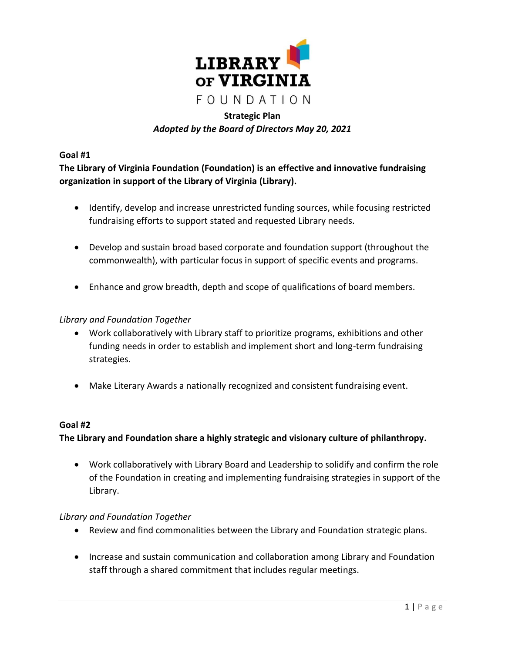

# **Strategic Plan** *Adopted by the Board of Directors May 20, 2021*

**Goal #1**

**The Library of Virginia Foundation (Foundation) is an effective and innovative fundraising organization in support of the Library of Virginia (Library).**

- Identify, develop and increase unrestricted funding sources, while focusing restricted fundraising efforts to support stated and requested Library needs.
- Develop and sustain broad based corporate and foundation support (throughout the commonwealth), with particular focus in support of specific events and programs.
- Enhance and grow breadth, depth and scope of qualifications of board members.

## *Library and Foundation Together*

- Work collaboratively with Library staff to prioritize programs, exhibitions and other funding needs in order to establish and implement short and long-term fundraising strategies.
- Make Literary Awards a nationally recognized and consistent fundraising event.

### **Goal #2**

## **The Library and Foundation share a highly strategic and visionary culture of philanthropy.**

 Work collaboratively with Library Board and Leadership to solidify and confirm the role of the Foundation in creating and implementing fundraising strategies in support of the Library.

### *Library and Foundation Together*

- Review and find commonalities between the Library and Foundation strategic plans.
- Increase and sustain communication and collaboration among Library and Foundation staff through a shared commitment that includes regular meetings.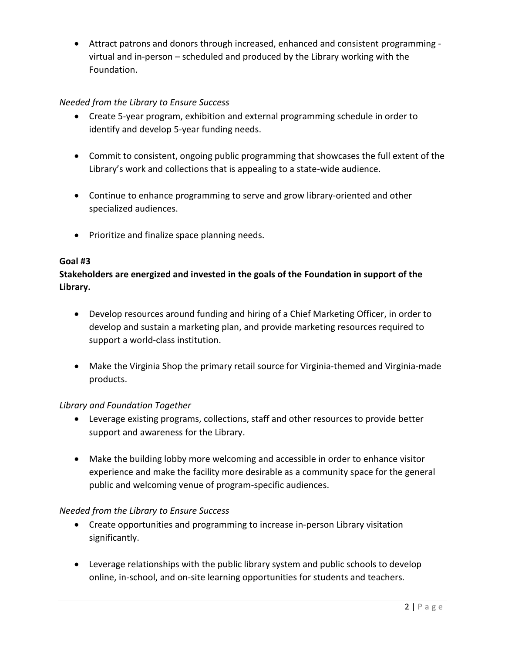Attract patrons and donors through increased, enhanced and consistent programming virtual and in-person – scheduled and produced by the Library working with the Foundation.

# *Needed from the Library to Ensure Success*

- Create 5-year program, exhibition and external programming schedule in order to identify and develop 5-year funding needs.
- Commit to consistent, ongoing public programming that showcases the full extent of the Library's work and collections that is appealing to a state-wide audience.
- Continue to enhance programming to serve and grow library-oriented and other specialized audiences.
- Prioritize and finalize space planning needs.

## **Goal #3**

**Stakeholders are energized and invested in the goals of the Foundation in support of the Library.**

- Develop resources around funding and hiring of a Chief Marketing Officer, in order to develop and sustain a marketing plan, and provide marketing resources required to support a world-class institution.
- Make the Virginia Shop the primary retail source for Virginia-themed and Virginia-made products.

## *Library and Foundation Together*

- Leverage existing programs, collections, staff and other resources to provide better support and awareness for the Library.
- Make the building lobby more welcoming and accessible in order to enhance visitor experience and make the facility more desirable as a community space for the general public and welcoming venue of program-specific audiences.

## *Needed from the Library to Ensure Success*

- Create opportunities and programming to increase in-person Library visitation significantly.
- Leverage relationships with the public library system and public schools to develop online, in-school, and on-site learning opportunities for students and teachers.